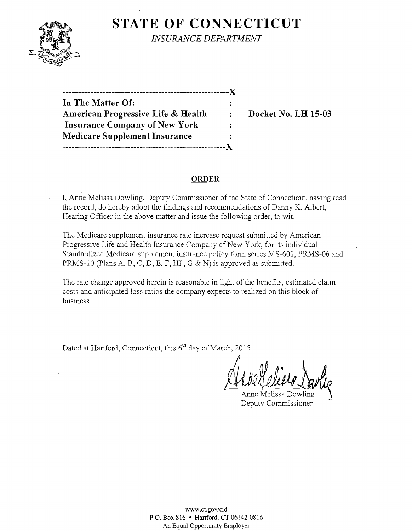## **STATE OF CONNECTICUT**



*INSURANCE DEPARTMENT* 

**In The Matter Of:** American Progressive Life & Health : Docket No. LH 15-03 **Insurance Company of New York Medicare Supplement Insurance -----------------------------------------------------)(** 

**------------------------------------------------------)(** 

### **ORDER**

 $\ddot{\cdot}$ 

I, Anne Melissa Dowling, Deputy Commissioner of the State of Connecticut, having read the record, do hereby adopt the findings and recommendations of Danny K. Albert, Hearing Officer in the above matter and issue the following order, to wit:

The Medicare supplement insurance rate increase request submitted by American Progressive Life and Health Insurance Company of New York, for its individual Standardized Medicare supplement insurance policy form series MS-601, PRMS-06 and PRMS-I0 (Plans A, B, C, D, E, F, HF, G & N) is approved as submitted.

The rate change approved herein is reasonable in light of the benefits, estimated claim costs and anticipated loss ratios the company expects to realized on this block of business.

Dated at Hartford, Connecticut, this 6<sup>th</sup> day of March, 2015.

Ahre Clear Dan

Anne Melissa Dowling Deputy Commissioner

www.ct.gov/cid P.O. Box 816 • Hartford, CT 06142-0816 An Equal Opportunity Employer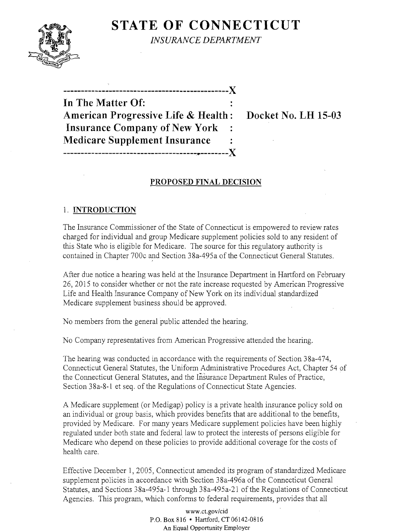# **STATE OF CONNECTICUT**



*INSURANCE DEPARTMENT* 

**-----------------------------------------------)( In The Matter Of: American Progressive Life & Health: Docket No. LH 15-03 Insurance Company** of New **York Medicare Supplement Insurance** -------------------------------------~~--------)(

## **PROPOSED FINAL DECISION**

### 1. **INTRODUCTION**

The Insurance Commissioner of the State of Connecticut is empowered to review rates charged for individual and group Medicare supplement policies sold to any resident of this State who is eligible for Medicare. The source for this regulatory authority is contained in Chapter 700c and Section 38a-495a of the Connecticut General Statutes.

After due notice a hearing was held at the Insurance Department in Hartford on February 26,2015 to consider whether or not the rate increase requested by American Progressive Life and Health Insurance Company of New York on its individual standardized Medicare supplement business should be approved.

No members from the general public attended the hearing.

No Company representatives from American Progressive attended the hearing.

The hearing was conducted in accordance with the requirements of Section 38a-474, Connecticut General Statutes, the Uniform Administrative Procedures Act, Chapter 54 of the Connecticut General Statutes, and the Insurance Department Rules of Practice, Section 38a-8-1 et seq. of the Regulations of Connecticut State Agencies.

A Medicare supplement (or Medigap) policy is a private health insurance policy sold on an individual or group basis, which provides benefits that are additional to the benefits, provided by Medicare. For many years Medicare supplement policies have been highly regulated under both state and federal law to protect the interests of persons eligible for Medicare who depend on these policies to provide additional coverage for the costs of health care.

Effective December 1, 2005, Connecticut amended its program of standardized Medicare supplement policies in accordance with Section 38a-496a of the Connecticut General Statutes, and Sections 38a-495a-l through 38a-495a-21 of the Regulations of Connecticut Agencies. This program, which conforms to federal requirements, provides that all

> www.ct.gov/cid P.O. Box 816 • Hartford, CT 06142-0816 An Equal Opportunity Employer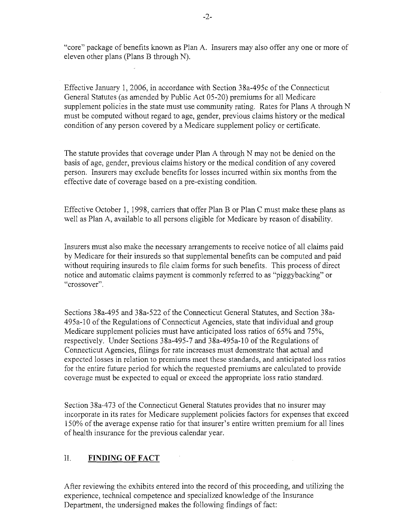"core" package of benefits known as Plan A. Insurers may also offer anyone or more of eleven other plans (Plans B through N).

Effective January 1,2006, in accordance with Section 38a-495c of the Connecticut General Statutes (as amended by Public Act 05-20) premiums for all Medicare supplement policies in the state must use community rating. Rates for Plans A through N must be computed without regard to age, gender, previous claims history or the medical condition of any person covered by a Medicare supplement policy or certificate.

The statute provides that coverage under Plan A through N may not be denied on the basis of age, gender, previous claims history or the medical condition of any covered person. Insurers may exclude benefits for losses incurred within six months from the effective date of coverage based on a pre-existing condition.

Effective October 1, 1998, carriers that offer Plan B or Plan C must make these plans as well as Plan A, available to all persons eligible for Medicare by reason of disability.

Insurers must also make the necessary arrangements to receive notice of all claims paid by Medicare for their insureds so that supplemental benefits can be computed and paid without requiring insureds to file claim forms for such benefits. This process of direct notice and automatic claims payment is commonly referred to as "piggybacking" or "crossover".

Sections 38a-495 and 38a-522 of the Connecticut General Statutes, and Section 38a-495a-10 of the Regulations of Connecticut Agencies, state that individual and group Medicare supplement policies must have anticipated loss ratios of 65% and 75%, respectively. Under Sections 38a-495-7 and 38a-495a-10 of the Regulations of Connecticut Agencies, filings for rate increases must demonstrate that actual and expected losses in relation to premiums meet these standards, and anticipated loss ratios for the entire future period for which the requested premiums are calculated to provide coverage must be expected to equal or exceed the appropriate loss ratio standard.

Section 38a-473 of the Connecticut General Statutes provides that no insurer may incorporate in its rates for Medicare supplement policies factors for expenses that exceed 150% of the average expense ratio for that insurer's entire written premium for all lines of health insurance for the previous calendar year.

## II. **FINDING OF FACT**

After reviewing the exhibits entered into the record of this proceeding, and utilizing the experience, technical competence and specialized knowledge of the Insurance Department, the undersigned makes the following findings of fact: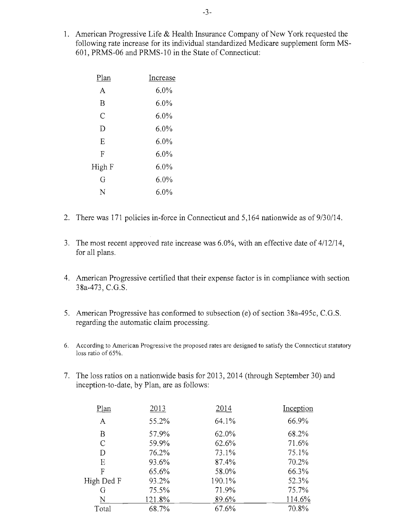1. American Progressive Life  $&$  Health Insurance Company of New York requested the following rate increase for its individual standardized Medicare supplement form MS-601, PRMS-06 and PRMS-10 in the State of Connecticut:

| Plan   | Increase |
|--------|----------|
| A      | $6.0\%$  |
| B      | $6.0\%$  |
| C      | $6.0\%$  |
| D      | $6.0\%$  |
| Е      | 6.0%     |
| F      | $6.0\%$  |
| High F | 6.0%     |
| G      | $6.0\%$  |
| N      | $6.0\%$  |

- 2. There was 171 policies in-force in Connecticut and 5,164 nationwide as of  $9/30/14$ .
- 3. The most recent approved rate increase was  $6.0\%$ , with an effective date of  $4/12/14$ , for all plans.
- 4. American Progressive certified that their expense factor is in compliance with section 38a-473, C.G.S.
- 5. American Progressive has conformed to subsection (e) of section 38a-495c, C.G.S. regarding the automatic claim processing.
- 6. According to American Progressive the proposed rates are designed to satisfy the Connecticut statutory loss ratio of 65%.
- 7. The loss ratios on a nationwide basis for 2013, 2014 (through September 30) and inception-to-date, by Plan, are as follows:

| Plan          | 2013   | 2014   | Inception |
|---------------|--------|--------|-----------|
| A             | 55.2%  | 64.1%  | 66.9%     |
| B             | 57.9%  | 62.0%  | 68.2%     |
| $\mathcal{C}$ | 59.9%  | 62.6%  | 71.6%     |
| D             | 76.2%  | 73.1%  | 75.1%     |
| Ε             | 93.6%  | 87.4%  | 70.2%     |
| F             | 65.6%  | 58.0%  | 66.3%     |
| High Ded F    | 93.2%  | 190.1% | 52.3%     |
| G             | 75.5%  | 71.9%  | 75.7%     |
| N             | 121.8% | 89.6%  | 114.6%    |
| Total         | 68.7%  | 67.6%  | 70.8%     |